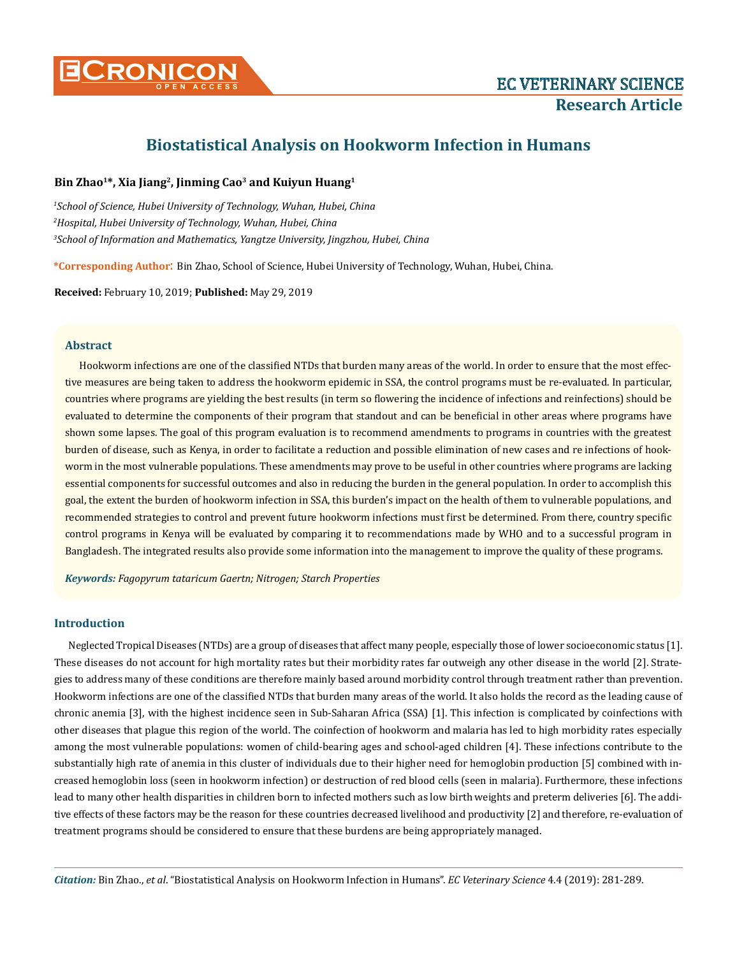

# **Biostatistical Analysis on Hookworm Infection in Humans**

# **Bin Zhao1\*, Xia Jiang2, Jinming Cao3 and Kuiyun Huang1**

*1 School of Science, Hubei University of Technology, Wuhan, Hubei, China 2 Hospital, Hubei University of Technology, Wuhan, Hubei, China 3 School of Information and Mathematics, Yangtze University, Jingzhou, Hubei, China*

**\*Corresponding Author**: Bin Zhao, School of Science, Hubei University of Technology, Wuhan, Hubei, China.

**Received:** February 10, 2019; **Published:** May 29, 2019

## **Abstract**

Hookworm infections are one of the classified NTDs that burden many areas of the world. In order to ensure that the most effective measures are being taken to address the hookworm epidemic in SSA, the control programs must be re-evaluated. In particular, countries where programs are yielding the best results (in term so flowering the incidence of infections and reinfections) should be evaluated to determine the components of their program that standout and can be beneficial in other areas where programs have shown some lapses. The goal of this program evaluation is to recommend amendments to programs in countries with the greatest burden of disease, such as Kenya, in order to facilitate a reduction and possible elimination of new cases and re infections of hookworm in the most vulnerable populations. These amendments may prove to be useful in other countries where programs are lacking essential components for successful outcomes and also in reducing the burden in the general population. In order to accomplish this goal, the extent the burden of hookworm infection in SSA, this burden's impact on the health of them to vulnerable populations, and recommended strategies to control and prevent future hookworm infections must first be determined. From there, country specific control programs in Kenya will be evaluated by comparing it to recommendations made by WHO and to a successful program in Bangladesh. The integrated results also provide some information into the management to improve the quality of these programs.

*Keywords: Fagopyrum tataricum Gaertn; Nitrogen; Starch Properties*

# **Introduction**

Neglected Tropical Diseases (NTDs) are a group of diseases that affect many people, especially those of lower socioeconomic status [1]. These diseases do not account for high mortality rates but their morbidity rates far outweigh any other disease in the world [2]. Strategies to address many of these conditions are therefore mainly based around morbidity control through treatment rather than prevention. Hookworm infections are one of the classified NTDs that burden many areas of the world. It also holds the record as the leading cause of chronic anemia [3], with the highest incidence seen in Sub-Saharan Africa (SSA) [1]. This infection is complicated by coinfections with other diseases that plague this region of the world. The coinfection of hookworm and malaria has led to high morbidity rates especially among the most vulnerable populations: women of child-bearing ages and school-aged children [4]. These infections contribute to the substantially high rate of anemia in this cluster of individuals due to their higher need for hemoglobin production [5] combined with increased hemoglobin loss (seen in hookworm infection) or destruction of red blood cells (seen in malaria). Furthermore, these infections lead to many other health disparities in children born to infected mothers such as low birth weights and preterm deliveries [6]. The additive effects of these factors may be the reason for these countries decreased livelihood and productivity [2] and therefore, re-evaluation of treatment programs should be considered to ensure that these burdens are being appropriately managed.

*Citation:* Bin Zhao., *et al*. "Biostatistical Analysis on Hookworm Infection in Humans". *EC Veterinary Science* 4.4 (2019): 281-289.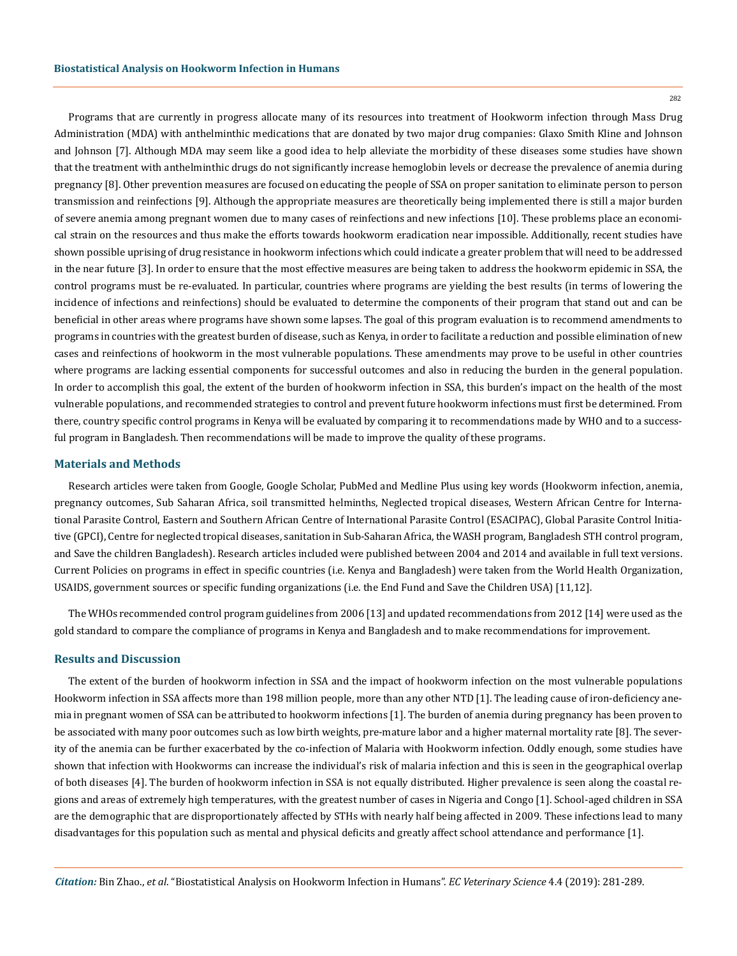Programs that are currently in progress allocate many of its resources into treatment of Hookworm infection through Mass Drug Administration (MDA) with anthelminthic medications that are donated by two major drug companies: Glaxo Smith Kline and Johnson and Johnson [7]. Although MDA may seem like a good idea to help alleviate the morbidity of these diseases some studies have shown that the treatment with anthelminthic drugs do not significantly increase hemoglobin levels or decrease the prevalence of anemia during pregnancy [8]. Other prevention measures are focused on educating the people of SSA on proper sanitation to eliminate person to person transmission and reinfections [9]. Although the appropriate measures are theoretically being implemented there is still a major burden of severe anemia among pregnant women due to many cases of reinfections and new infections [10]. These problems place an economical strain on the resources and thus make the efforts towards hookworm eradication near impossible. Additionally, recent studies have shown possible uprising of drug resistance in hookworm infections which could indicate a greater problem that will need to be addressed in the near future [3]. In order to ensure that the most effective measures are being taken to address the hookworm epidemic in SSA, the control programs must be re-evaluated. In particular, countries where programs are yielding the best results (in terms of lowering the incidence of infections and reinfections) should be evaluated to determine the components of their program that stand out and can be beneficial in other areas where programs have shown some lapses. The goal of this program evaluation is to recommend amendments to programs in countries with the greatest burden of disease, such as Kenya, in order to facilitate a reduction and possible elimination of new cases and reinfections of hookworm in the most vulnerable populations. These amendments may prove to be useful in other countries where programs are lacking essential components for successful outcomes and also in reducing the burden in the general population. In order to accomplish this goal, the extent of the burden of hookworm infection in SSA, this burden's impact on the health of the most vulnerable populations, and recommended strategies to control and prevent future hookworm infections must first be determined. From there, country specific control programs in Kenya will be evaluated by comparing it to recommendations made by WHO and to a successful program in Bangladesh. Then recommendations will be made to improve the quality of these programs.

### **Materials and Methods**

Research articles were taken from Google, Google Scholar, PubMed and Medline Plus using key words (Hookworm infection, anemia, pregnancy outcomes, Sub Saharan Africa, soil transmitted helminths, Neglected tropical diseases, Western African Centre for International Parasite Control, Eastern and Southern African Centre of International Parasite Control (ESACIPAC), Global Parasite Control Initiative (GPCI), Centre for neglected tropical diseases, sanitation in Sub-Saharan Africa, the WASH program, Bangladesh STH control program, and Save the children Bangladesh). Research articles included were published between 2004 and 2014 and available in full text versions. Current Policies on programs in effect in specific countries (i.e. Kenya and Bangladesh) were taken from the World Health Organization, USAIDS, government sources or specific funding organizations (i.e. the End Fund and Save the Children USA) [11,12].

The WHOs recommended control program guidelines from 2006 [13] and updated recommendations from 2012 [14] were used as the gold standard to compare the compliance of programs in Kenya and Bangladesh and to make recommendations for improvement.

## **Results and Discussion**

The extent of the burden of hookworm infection in SSA and the impact of hookworm infection on the most vulnerable populations Hookworm infection in SSA affects more than 198 million people, more than any other NTD [1]. The leading cause of iron-deficiency anemia in pregnant women of SSA can be attributed to hookworm infections [1]. The burden of anemia during pregnancy has been proven to be associated with many poor outcomes such as low birth weights, pre-mature labor and a higher maternal mortality rate [8]. The severity of the anemia can be further exacerbated by the co-infection of Malaria with Hookworm infection. Oddly enough, some studies have shown that infection with Hookworms can increase the individual's risk of malaria infection and this is seen in the geographical overlap of both diseases [4]. The burden of hookworm infection in SSA is not equally distributed. Higher prevalence is seen along the coastal regions and areas of extremely high temperatures, with the greatest number of cases in Nigeria and Congo [1]. School-aged children in SSA are the demographic that are disproportionately affected by STHs with nearly half being affected in 2009. These infections lead to many disadvantages for this population such as mental and physical deficits and greatly affect school attendance and performance [1].

282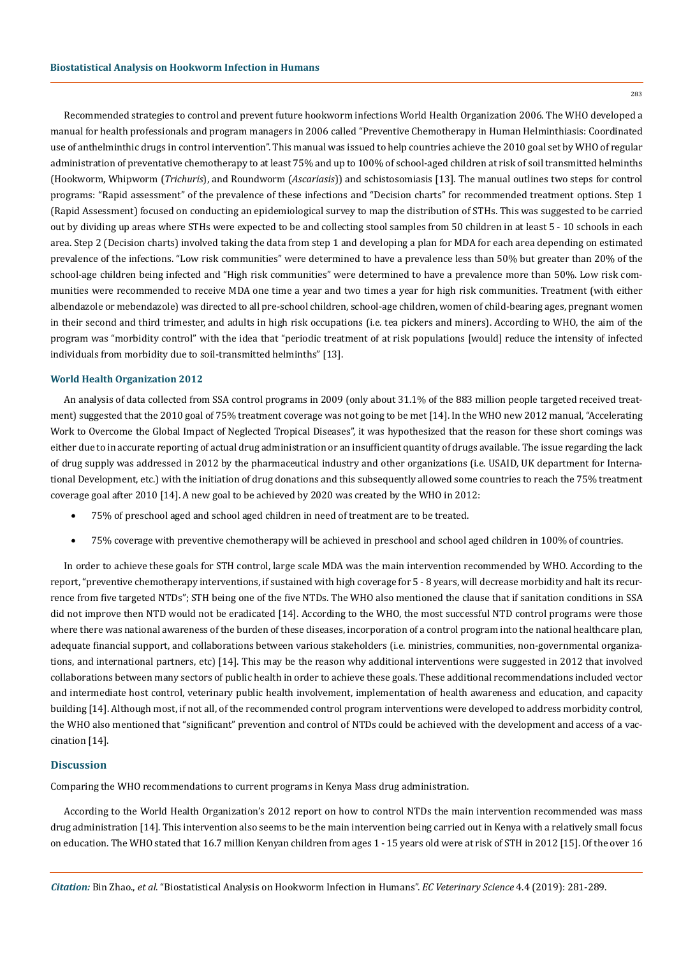283

Recommended strategies to control and prevent future hookworm infections World Health Organization 2006. The WHO developed a manual for health professionals and program managers in 2006 called "Preventive Chemotherapy in Human Helminthiasis: Coordinated use of anthelminthic drugs in control intervention". This manual was issued to help countries achieve the 2010 goal set by WHO of regular administration of preventative chemotherapy to at least 75% and up to 100% of school-aged children at risk of soil transmitted helminths (Hookworm, Whipworm (*Trichuris*), and Roundworm (*Ascariasis*)) and schistosomiasis [13]. The manual outlines two steps for control programs: "Rapid assessment" of the prevalence of these infections and "Decision charts" for recommended treatment options. Step 1 (Rapid Assessment) focused on conducting an epidemiological survey to map the distribution of STHs. This was suggested to be carried out by dividing up areas where STHs were expected to be and collecting stool samples from 50 children in at least 5 - 10 schools in each area. Step 2 (Decision charts) involved taking the data from step 1 and developing a plan for MDA for each area depending on estimated prevalence of the infections. "Low risk communities" were determined to have a prevalence less than 50% but greater than 20% of the school-age children being infected and "High risk communities" were determined to have a prevalence more than 50%. Low risk communities were recommended to receive MDA one time a year and two times a year for high risk communities. Treatment (with either albendazole or mebendazole) was directed to all pre-school children, school-age children, women of child-bearing ages, pregnant women in their second and third trimester, and adults in high risk occupations (i.e. tea pickers and miners). According to WHO, the aim of the program was "morbidity control" with the idea that "periodic treatment of at risk populations [would] reduce the intensity of infected individuals from morbidity due to soil-transmitted helminths" [13].

# **World Health Organization 2012**

An analysis of data collected from SSA control programs in 2009 (only about 31.1% of the 883 million people targeted received treatment) suggested that the 2010 goal of 75% treatment coverage was not going to be met [14]. In the WHO new 2012 manual, "Accelerating Work to Overcome the Global Impact of Neglected Tropical Diseases", it was hypothesized that the reason for these short comings was either due to in accurate reporting of actual drug administration or an insufficient quantity of drugs available. The issue regarding the lack of drug supply was addressed in 2012 by the pharmaceutical industry and other organizations (i.e. USAID, UK department for International Development, etc.) with the initiation of drug donations and this subsequently allowed some countries to reach the 75% treatment coverage goal after 2010 [14]. A new goal to be achieved by 2020 was created by the WHO in 2012:

- 75% of preschool aged and school aged children in need of treatment are to be treated.
- 75% coverage with preventive chemotherapy will be achieved in preschool and school aged children in 100% of countries.

In order to achieve these goals for STH control, large scale MDA was the main intervention recommended by WHO. According to the report, "preventive chemotherapy interventions, if sustained with high coverage for 5 - 8 years, will decrease morbidity and halt its recurrence from five targeted NTDs"; STH being one of the five NTDs. The WHO also mentioned the clause that if sanitation conditions in SSA did not improve then NTD would not be eradicated [14]. According to the WHO, the most successful NTD control programs were those where there was national awareness of the burden of these diseases, incorporation of a control program into the national healthcare plan, adequate financial support, and collaborations between various stakeholders (i.e. ministries, communities, non-governmental organizations, and international partners, etc) [14]. This may be the reason why additional interventions were suggested in 2012 that involved collaborations between many sectors of public health in order to achieve these goals. These additional recommendations included vector and intermediate host control, veterinary public health involvement, implementation of health awareness and education, and capacity building [14]. Although most, if not all, of the recommended control program interventions were developed to address morbidity control, the WHO also mentioned that "significant" prevention and control of NTDs could be achieved with the development and access of a vaccination [14].

## **Discussion**

Comparing the WHO recommendations to current programs in Kenya Mass drug administration.

According to the World Health Organization's 2012 report on how to control NTDs the main intervention recommended was mass drug administration [14]. This intervention also seems to be the main intervention being carried out in Kenya with a relatively small focus on education. The WHO stated that 16.7 million Kenyan children from ages 1 - 15 years old were at risk of STH in 2012 [15]. Of the over 16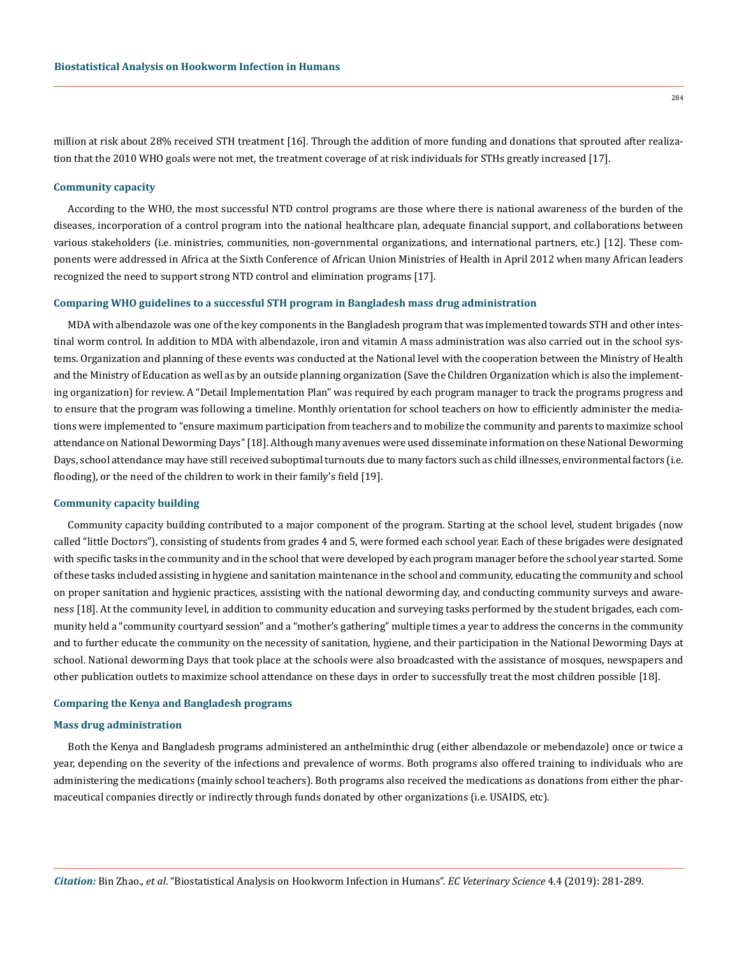million at risk about 28% received STH treatment [16]. Through the addition of more funding and donations that sprouted after realization that the 2010 WHO goals were not met, the treatment coverage of at risk individuals for STHs greatly increased [17].

#### **Community capacity**

According to the WHO, the most successful NTD control programs are those where there is national awareness of the burden of the diseases, incorporation of a control program into the national healthcare plan, adequate financial support, and collaborations between various stakeholders (i.e. ministries, communities, non-governmental organizations, and international partners, etc.) [12]. These components were addressed in Africa at the Sixth Conference of African Union Ministries of Health in April 2012 when many African leaders recognized the need to support strong NTD control and elimination programs [17].

## **Comparing WHO guidelines to a successful STH program in Bangladesh mass drug administration**

MDA with albendazole was one of the key components in the Bangladesh program that was implemented towards STH and other intestinal worm control. In addition to MDA with albendazole, iron and vitamin A mass administration was also carried out in the school systems. Organization and planning of these events was conducted at the National level with the cooperation between the Ministry of Health and the Ministry of Education as well as by an outside planning organization (Save the Children Organization which is also the implementing organization) for review. A "Detail Implementation Plan" was required by each program manager to track the programs progress and to ensure that the program was following a timeline. Monthly orientation for school teachers on how to efficiently administer the mediations were implemented to "ensure maximum participation from teachers and to mobilize the community and parents to maximize school attendance on National Deworming Days" [18]. Although many avenues were used disseminate information on these National Deworming Days, school attendance may have still received suboptimal turnouts due to many factors such as child illnesses, environmental factors (i.e. flooding), or the need of the children to work in their family's field [19].

## **Community capacity building**

Community capacity building contributed to a major component of the program. Starting at the school level, student brigades (now called "little Doctors"), consisting of students from grades 4 and 5, were formed each school year. Each of these brigades were designated with specific tasks in the community and in the school that were developed by each program manager before the school year started. Some of these tasks included assisting in hygiene and sanitation maintenance in the school and community, educating the community and school on proper sanitation and hygienic practices, assisting with the national deworming day, and conducting community surveys and awareness [18]. At the community level, in addition to community education and surveying tasks performed by the student brigades, each community held a "community courtyard session" and a "mother's gathering" multiple times a year to address the concerns in the community and to further educate the community on the necessity of sanitation, hygiene, and their participation in the National Deworming Days at school. National deworming Days that took place at the schools were also broadcasted with the assistance of mosques, newspapers and other publication outlets to maximize school attendance on these days in order to successfully treat the most children possible [18].

## **Comparing the Kenya and Bangladesh programs**

#### **Mass drug administration**

Both the Kenya and Bangladesh programs administered an anthelminthic drug (either albendazole or mebendazole) once or twice a year, depending on the severity of the infections and prevalence of worms. Both programs also offered training to individuals who are administering the medications (mainly school teachers). Both programs also received the medications as donations from either the pharmaceutical companies directly or indirectly through funds donated by other organizations (i.e. USAIDS, etc).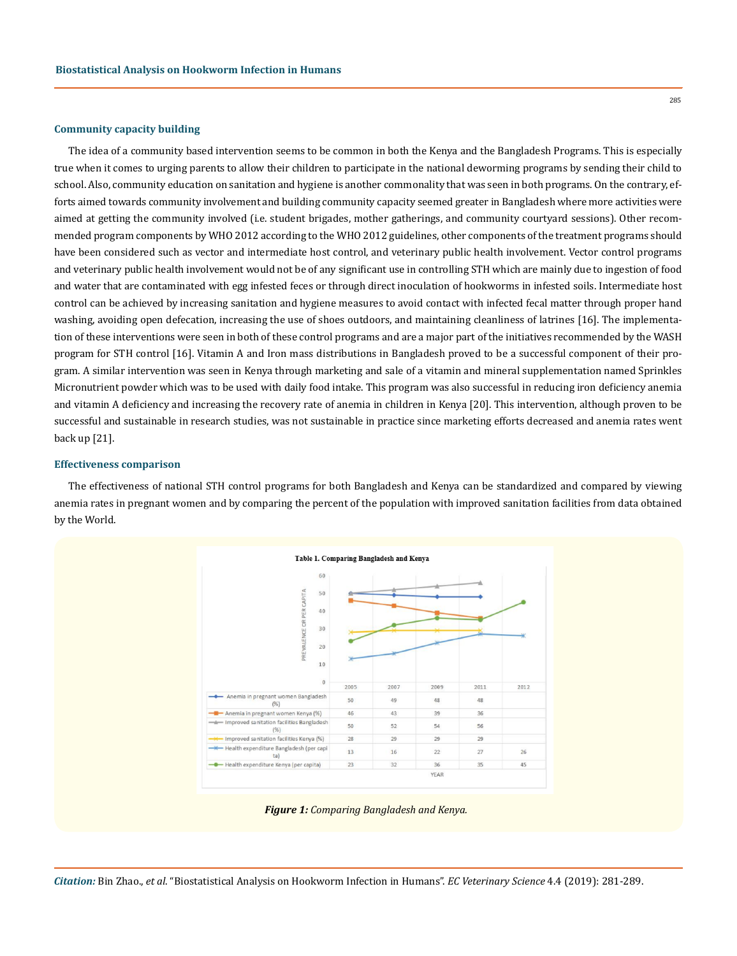#### **Community capacity building**

The idea of a community based intervention seems to be common in both the Kenya and the Bangladesh Programs. This is especially true when it comes to urging parents to allow their children to participate in the national deworming programs by sending their child to school. Also, community education on sanitation and hygiene is another commonality that was seen in both programs. On the contrary, efforts aimed towards community involvement and building community capacity seemed greater in Bangladesh where more activities were aimed at getting the community involved (i.e. student brigades, mother gatherings, and community courtyard sessions). Other recommended program components by WHO 2012 according to the WHO 2012 guidelines, other components of the treatment programs should have been considered such as vector and intermediate host control, and veterinary public health involvement. Vector control programs and veterinary public health involvement would not be of any significant use in controlling STH which are mainly due to ingestion of food and water that are contaminated with egg infested feces or through direct inoculation of hookworms in infested soils. Intermediate host control can be achieved by increasing sanitation and hygiene measures to avoid contact with infected fecal matter through proper hand washing, avoiding open defecation, increasing the use of shoes outdoors, and maintaining cleanliness of latrines [16]. The implementation of these interventions were seen in both of these control programs and are a major part of the initiatives recommended by the WASH program for STH control [16]. Vitamin A and Iron mass distributions in Bangladesh proved to be a successful component of their program. A similar intervention was seen in Kenya through marketing and sale of a vitamin and mineral supplementation named Sprinkles Micronutrient powder which was to be used with daily food intake. This program was also successful in reducing iron deficiency anemia and vitamin A deficiency and increasing the recovery rate of anemia in children in Kenya [20]. This intervention, although proven to be successful and sustainable in research studies, was not sustainable in practice since marketing efforts decreased and anemia rates went back up [21].

#### **Effectiveness comparison**

The effectiveness of national STH control programs for both Bangladesh and Kenya can be standardized and compared by viewing anemia rates in pregnant women and by comparing the percent of the population with improved sanitation facilities from data obtained by the World.



*Citation:* Bin Zhao., *et al*. "Biostatistical Analysis on Hookworm Infection in Humans". *EC Veterinary Science* 4.4 (2019): 281-289.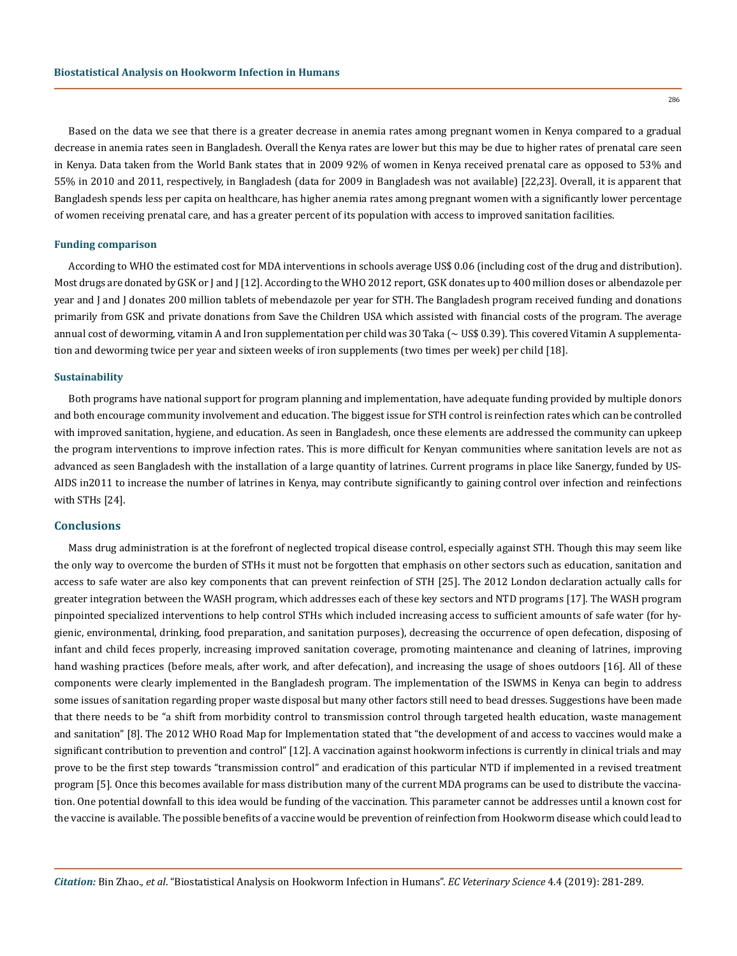286

Based on the data we see that there is a greater decrease in anemia rates among pregnant women in Kenya compared to a gradual decrease in anemia rates seen in Bangladesh. Overall the Kenya rates are lower but this may be due to higher rates of prenatal care seen in Kenya. Data taken from the World Bank states that in 2009 92% of women in Kenya received prenatal care as opposed to 53% and 55% in 2010 and 2011, respectively, in Bangladesh (data for 2009 in Bangladesh was not available) [22,23]. Overall, it is apparent that Bangladesh spends less per capita on healthcare, has higher anemia rates among pregnant women with a significantly lower percentage of women receiving prenatal care, and has a greater percent of its population with access to improved sanitation facilities.

## **Funding comparison**

According to WHO the estimated cost for MDA interventions in schools average US\$ 0.06 (including cost of the drug and distribution). Most drugs are donated by GSK or J and J [12]. According to the WHO 2012 report, GSK donates up to 400 million doses or albendazole per year and J and J donates 200 million tablets of mebendazole per year for STH. The Bangladesh program received funding and donations primarily from GSK and private donations from Save the Children USA which assisted with financial costs of the program. The average annual cost of deworming, vitamin A and Iron supplementation per child was 30 Taka (~ US\$ 0.39). This covered Vitamin A supplementation and deworming twice per year and sixteen weeks of iron supplements (two times per week) per child [18].

#### **Sustainability**

Both programs have national support for program planning and implementation, have adequate funding provided by multiple donors and both encourage community involvement and education. The biggest issue for STH control is reinfection rates which can be controlled with improved sanitation, hygiene, and education. As seen in Bangladesh, once these elements are addressed the community can upkeep the program interventions to improve infection rates. This is more difficult for Kenyan communities where sanitation levels are not as advanced as seen Bangladesh with the installation of a large quantity of latrines. Current programs in place like Sanergy, funded by US-AIDS in2011 to increase the number of latrines in Kenya, may contribute significantly to gaining control over infection and reinfections with STHs [24].

## **Conclusions**

Mass drug administration is at the forefront of neglected tropical disease control, especially against STH. Though this may seem like the only way to overcome the burden of STHs it must not be forgotten that emphasis on other sectors such as education, sanitation and access to safe water are also key components that can prevent reinfection of STH [25]. The 2012 London declaration actually calls for greater integration between the WASH program, which addresses each of these key sectors and NTD programs [17]. The WASH program pinpointed specialized interventions to help control STHs which included increasing access to sufficient amounts of safe water (for hygienic, environmental, drinking, food preparation, and sanitation purposes), decreasing the occurrence of open defecation, disposing of infant and child feces properly, increasing improved sanitation coverage, promoting maintenance and cleaning of latrines, improving hand washing practices (before meals, after work, and after defecation), and increasing the usage of shoes outdoors [16]. All of these components were clearly implemented in the Bangladesh program. The implementation of the ISWMS in Kenya can begin to address some issues of sanitation regarding proper waste disposal but many other factors still need to bead dresses. Suggestions have been made that there needs to be "a shift from morbidity control to transmission control through targeted health education, waste management and sanitation" [8]. The 2012 WHO Road Map for Implementation stated that "the development of and access to vaccines would make a significant contribution to prevention and control" [12]. A vaccination against hookworm infections is currently in clinical trials and may prove to be the first step towards "transmission control" and eradication of this particular NTD if implemented in a revised treatment program [5]. Once this becomes available for mass distribution many of the current MDA programs can be used to distribute the vaccination. One potential downfall to this idea would be funding of the vaccination. This parameter cannot be addresses until a known cost for the vaccine is available. The possible benefits of a vaccine would be prevention of reinfection from Hookworm disease which could lead to

*Citation:* Bin Zhao., *et al*. "Biostatistical Analysis on Hookworm Infection in Humans". *EC Veterinary Science* 4.4 (2019): 281-289.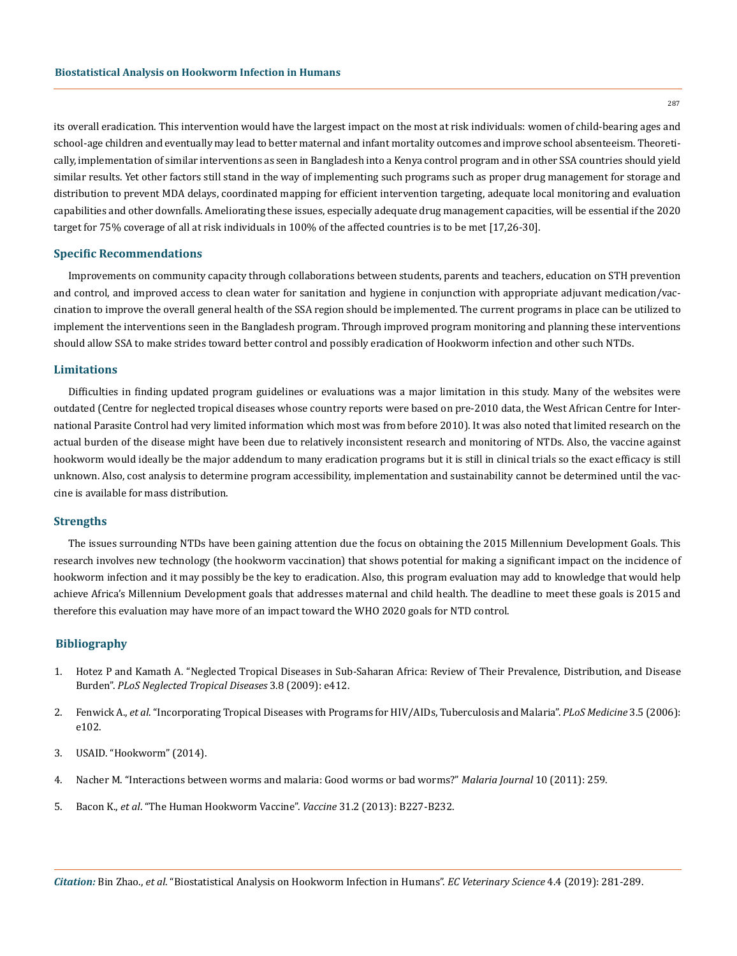its overall eradication. This intervention would have the largest impact on the most at risk individuals: women of child-bearing ages and school-age children and eventually may lead to better maternal and infant mortality outcomes and improve school absenteeism. Theoretically, implementation of similar interventions as seen in Bangladesh into a Kenya control program and in other SSA countries should yield similar results. Yet other factors still stand in the way of implementing such programs such as proper drug management for storage and distribution to prevent MDA delays, coordinated mapping for efficient intervention targeting, adequate local monitoring and evaluation capabilities and other downfalls. Ameliorating these issues, especially adequate drug management capacities, will be essential if the 2020 target for 75% coverage of all at risk individuals in 100% of the affected countries is to be met [17,26-30].

## **Specific Recommendations**

Improvements on community capacity through collaborations between students, parents and teachers, education on STH prevention and control, and improved access to clean water for sanitation and hygiene in conjunction with appropriate adjuvant medication/vaccination to improve the overall general health of the SSA region should be implemented. The current programs in place can be utilized to implement the interventions seen in the Bangladesh program. Through improved program monitoring and planning these interventions should allow SSA to make strides toward better control and possibly eradication of Hookworm infection and other such NTDs.

# **Limitations**

Difficulties in finding updated program guidelines or evaluations was a major limitation in this study. Many of the websites were outdated (Centre for neglected tropical diseases whose country reports were based on pre-2010 data, the West African Centre for International Parasite Control had very limited information which most was from before 2010). It was also noted that limited research on the actual burden of the disease might have been due to relatively inconsistent research and monitoring of NTDs. Also, the vaccine against hookworm would ideally be the major addendum to many eradication programs but it is still in clinical trials so the exact efficacy is still unknown. Also, cost analysis to determine program accessibility, implementation and sustainability cannot be determined until the vaccine is available for mass distribution.

#### **Strengths**

The issues surrounding NTDs have been gaining attention due the focus on obtaining the 2015 Millennium Development Goals. This research involves new technology (the hookworm vaccination) that shows potential for making a significant impact on the incidence of hookworm infection and it may possibly be the key to eradication. Also, this program evaluation may add to knowledge that would help achieve Africa's Millennium Development goals that addresses maternal and child health. The deadline to meet these goals is 2015 and therefore this evaluation may have more of an impact toward the WHO 2020 goals for NTD control.

## **Bibliography**

- 1. [Hotez P and Kamath A. "Neglected Tropical Diseases in Sub-Saharan Africa: Review of Their Prevalence, Distribution, and Disease](https://www.ncbi.nlm.nih.gov/pubmed/19707588)  Burden". *[PLoS Neglected Tropical Diseases](https://www.ncbi.nlm.nih.gov/pubmed/19707588)* 3.8 (2009): e412.
- 2. Fenwick A., *et al*[. "Incorporating Tropical Diseases with Programs for HIV/AIDs, Tuberculosis and Malaria".](https://www.ncbi.nlm.nih.gov/pubmed/16435908) *PLoS Medicine* 3.5 (2006): [e102.](https://www.ncbi.nlm.nih.gov/pubmed/16435908)
- 3. [USAID. "Hookworm" \(2014\).](https://www.neglecteddiseases.gov/usaid-target-diseases/soil-transmitted-helminths)
- 4. [Nacher M. "Interactions between worms and malaria: Good worms or bad worms?"](https://www.ncbi.nlm.nih.gov/pubmed/21910854) *Malaria Journal* 10 (2011): 259.
- 5. Bacon K., *et al*[. "The Human Hookworm Vaccine".](https://www.ncbi.nlm.nih.gov/pubmed/23598487) *Vaccine* 31.2 (2013): B227-B232.

287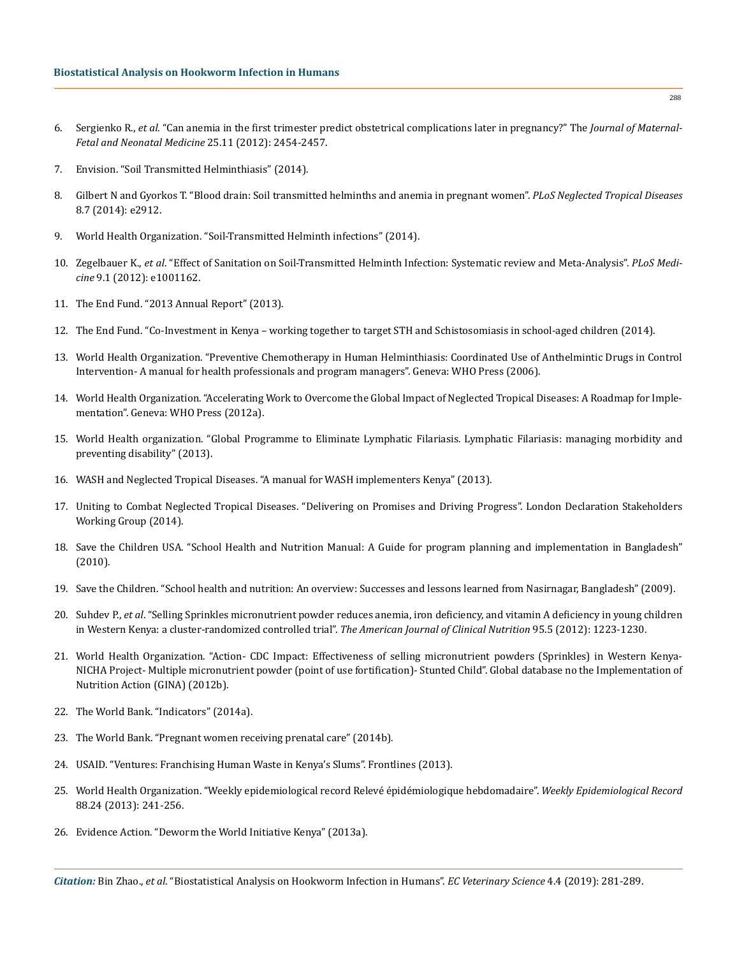- 6. Sergienko R., *et al*[. "Can anemia in the first trimester predict obstetrical complications later in pregnancy?" The](https://www.ncbi.nlm.nih.gov/pubmed/22708721) *Journal of Maternal-[Fetal and Neonatal Medicine](https://www.ncbi.nlm.nih.gov/pubmed/22708721)* 25.11 (2012): 2454-2457.
- 7. [Envision. "Soil Transmitted Helminthiasis" \(2014\).](http://www.ntdenvision.org/about_ntds/soil_transmitted_helminthiasis)
- 8. [Gilbert N and Gyorkos T. "Blood drain: Soil transmitted helminths and anemia in pregnant women".](https://www.ncbi.nlm.nih.gov/pmc/articles/PMC4091787/) *PLoS Neglected Tropical Diseases* [8.7 \(2014\): e2912.](https://www.ncbi.nlm.nih.gov/pmc/articles/PMC4091787/)
- 9. [World Health Organization. "Soil-Transmitted Helminth infections" \(2014\).](http://www.who.int/mediacentre/factsheets/fs366/en/)
- 10. Zegelbauer K., *et al*[. "Effect of Sanitation on Soil-Transmitted Helminth Infection: Systematic review and Meta-Analysis".](https://www.ncbi.nlm.nih.gov/pubmed/22291577) *PLoS Medicine* [9.1 \(2012\): e1001162.](https://www.ncbi.nlm.nih.gov/pubmed/22291577)
- 11. [The End Fund. "2013 Annual Report" \(2013\).](https://end.org/financials/2013-annual-report/)
- 12. The End Fund. "Co-Investment in Kenya working together to target STH and Schistosomiasis in school-aged children (2014).
- 13. [World Health Organization. "Preventive Chemotherapy in Human Helminthiasis: Coordinated Use of Anthelmintic Drugs in Control](https://apps.who.int/iris/bitstream/handle/10665/43545/9241547103_eng.pdf;jsessionid=837CECA44A803507733DA35361303F13?sequence=1)  [Intervention- A manual for health professionals and program managers". Geneva: WHO Press \(2006\).](https://apps.who.int/iris/bitstream/handle/10665/43545/9241547103_eng.pdf;jsessionid=837CECA44A803507733DA35361303F13?sequence=1)
- 14. [World Health Organization. "Accelerating Work to Overcome the Global Impact of Neglected Tropical Diseases: A Roadmap for Imple](https://www.who.int/neglected_diseases/NTD_RoadMap_2012_Fullversion.pdf)[mentation". Geneva: WHO Press \(2012a\).](https://www.who.int/neglected_diseases/NTD_RoadMap_2012_Fullversion.pdf)
- 15. [World Health organization. "Global Programme to Eliminate Lymphatic Filariasis. Lymphatic Filariasis: managing morbidity and](https://www.who.int/lymphatic_filariasis/resources/9789241505291/en/)  [preventing disability" \(2013\).](https://www.who.int/lymphatic_filariasis/resources/9789241505291/en/)
- 16. [WASH and Neglected Tropical Diseases. "A manual for WASH implementers Kenya" \(2013\).](http://childrenwithoutworms.org/sites/default/files/KEN%20WASH%20NTD%20Manual.pdf)
- 17. [Uniting to Combat Neglected Tropical Diseases. "Delivering on Promises and Driving Progress". London Declaration Stakeholders](https://unitingtocombatntds.org/wp-content/uploads/2017/11/2nd_progress_report_english.pdf) [Working Group \(2014\).](https://unitingtocombatntds.org/wp-content/uploads/2017/11/2nd_progress_report_english.pdf)
- 18. [Save the Children USA. "School Health and Nutrition Manual: A Guide for program planning and implementation in Bangladesh"](https://resourcecentre.savethechildren.net/library/school-health-and-nutrition-manual-guide-program-planning-and-implementation-bangladesh)  [\(2010\).](https://resourcecentre.savethechildren.net/library/school-health-and-nutrition-manual-guide-program-planning-and-implementation-bangladesh)
- 19. [Save the Children. "School health and nutrition: An overview: Successes and lessons learned from Nasirnagar, Bangladesh" \(2009\).](http://www.washntds.org/ecourse/mod/resource/view.php?id=37)
- 20. Suhdev P., *et al*[. "Selling Sprinkles micronutrient powder reduces anemia, iron deficiency, and vitamin A deficiency in young children](https://www.ncbi.nlm.nih.gov/pubmed/22492366)  [in Western Kenya: a cluster-randomized controlled trial".](https://www.ncbi.nlm.nih.gov/pubmed/22492366) *The American Journal of Clinical Nutrition* 95.5 (2012): 1223-1230.
- 21. [World Health Organization. "Action- CDC Impact: Effectiveness of selling micronutrient powders \(Sprinkles\) in Western Kenya-](https://extranet.who.int/nutrition/gina/fr/node/6062)[NICHA Project- Multiple micronutrient powder \(point of use fortification\)- Stunted Child". Global database no the Implementation of](https://extranet.who.int/nutrition/gina/fr/node/6062) [Nutrition Action \(GINA\) \(2012b\).](https://extranet.who.int/nutrition/gina/fr/node/6062)
- 22. [The World Bank. "Indicators" \(2014a\).](http://data.worldbank.org/indicator)
- 23. [The World Bank. "Pregnant women receiving prenatal care" \(2014b\).](http://data.worldbank.org/indicator/SH.STA.ANVC.ZS)
- 24. [USAID. "Ventures: Franchising Human Waste in Kenya's Slums". Frontlines \(2013\).](https://www.usaid.gov/news-information/frontlines/september-october-2017)
- 25. [World Health Organization. "Weekly epidemiological record Relevé épidémiologique hebdomadaire".](https://www.who.int/wer/2013/wer8824.pdf?ua=1) *Weekly Epidemiological Record* [88.24 \(2013\): 241-256.](https://www.who.int/wer/2013/wer8824.pdf?ua=1)
- 26. [Evidence Action. "Deworm the World Initiative Kenya" \(2013a\).](http://evidenceaction.org/wp-content/uploads/2013/10/20140309-DtWI_Kenya.pdf)